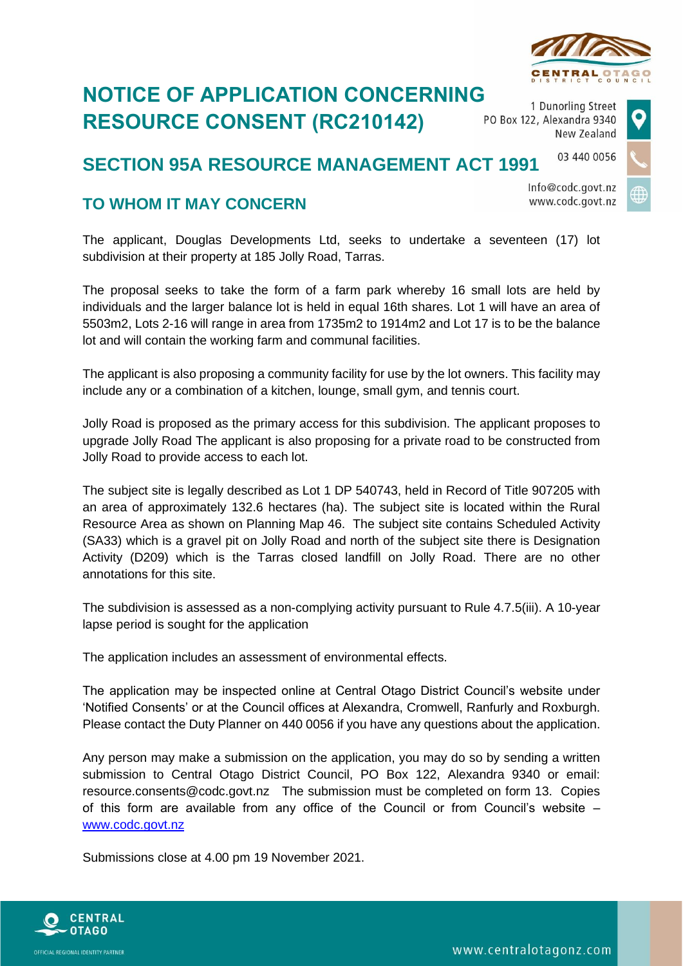## **NOTICE OF APPLICATION CONCERNING RESOURCE CONSENT (RC210142)**

1 Dunorling Street PO Box 122, Alexandra 9340 New Zealand

## 03 440 0056 **SECTION 95A RESOURCE MANAGEMENT ACT 1991**

## **TO WHOM IT MAY CONCERN**

The applicant, Douglas Developments Ltd, seeks to undertake a seventeen (17) lot subdivision at their property at 185 Jolly Road, Tarras.

The proposal seeks to take the form of a farm park whereby 16 small lots are held by individuals and the larger balance lot is held in equal 16th shares. Lot 1 will have an area of 5503m2, Lots 2-16 will range in area from 1735m2 to 1914m2 and Lot 17 is to be the balance lot and will contain the working farm and communal facilities.

The applicant is also proposing a community facility for use by the lot owners. This facility may include any or a combination of a kitchen, lounge, small gym, and tennis court.

Jolly Road is proposed as the primary access for this subdivision. The applicant proposes to upgrade Jolly Road The applicant is also proposing for a private road to be constructed from Jolly Road to provide access to each lot.

The subject site is legally described as Lot 1 DP 540743, held in Record of Title 907205 with an area of approximately 132.6 hectares (ha). The subject site is located within the Rural Resource Area as shown on Planning Map 46. The subject site contains Scheduled Activity (SA33) which is a gravel pit on Jolly Road and north of the subject site there is Designation Activity (D209) which is the Tarras closed landfill on Jolly Road. There are no other annotations for this site.

The subdivision is assessed as a non-complying activity pursuant to Rule 4.7.5(iii). A 10-year lapse period is sought for the application

The application includes an assessment of environmental effects.

The application may be inspected online at Central Otago District Council's website under 'Notified Consents' or at the Council offices at Alexandra, Cromwell, Ranfurly and Roxburgh. Please contact the Duty Planner on 440 0056 if you have any questions about the application.

Any person may make a submission on the application, you may do so by sending a written submission to Central Otago District Council, PO Box 122, Alexandra 9340 or email: resource.consents@codc.govt.nz The submission must be completed on form 13. Copies of this form are available from any office of the Council or from Council's website – [www.codc.govt.nz](http://www.codc.govt.nz/)

Submissions close at 4.00 pm 19 November 2021.







Info@codc.govt.nz www.codc.govt.nz

www.centralotagonz.com